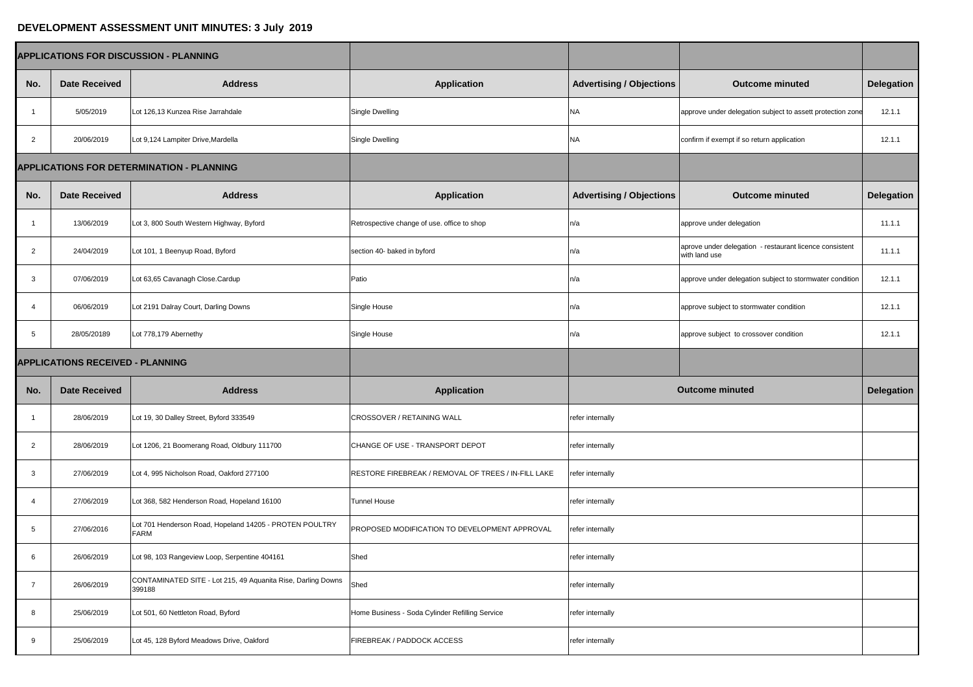## **DEVELOPMENT ASSESSMENT UNIT MINUTES: 3 July 2019**

| <b>APPLICATIONS FOR DISCUSSION - PLANNING</b>    |                      |                                                                        |                                                      |                                 |                                                                          |                   |
|--------------------------------------------------|----------------------|------------------------------------------------------------------------|------------------------------------------------------|---------------------------------|--------------------------------------------------------------------------|-------------------|
| No.                                              | <b>Date Received</b> | <b>Address</b>                                                         | <b>Application</b>                                   | <b>Advertising / Objections</b> | <b>Outcome minuted</b>                                                   | Delegation        |
|                                                  | 5/05/2019            | Lot 126,13 Kunzea Rise Jarrahdale                                      | Single Dwelling                                      | <b>NA</b>                       | approve under delegation subject to assett protection zone               | 12.1.1            |
| $\overline{2}$                                   | 20/06/2019           | Lot 9,124 Lampiter Drive, Mardella                                     | Single Dwelling                                      | <b>NA</b>                       | confirm if exempt if so return application                               | 12.1.1            |
| <b>APPLICATIONS FOR DETERMINATION - PLANNING</b> |                      |                                                                        |                                                      |                                 |                                                                          |                   |
| No.                                              | <b>Date Received</b> | <b>Address</b>                                                         | <b>Application</b>                                   | <b>Advertising / Objections</b> | <b>Outcome minuted</b>                                                   | <b>Delegation</b> |
|                                                  | 13/06/2019           | Lot 3, 800 South Western Highway, Byford                               | Retrospective change of use. office to shop          | n/a                             | approve under delegation                                                 | 11.1.1            |
| $\overline{2}$                                   | 24/04/2019           | Lot 101, 1 Beenyup Road, Byford                                        | section 40- baked in byford                          | n/a                             | aprove under delegation - restaurant licence consistent<br>with land use | 11.1.1            |
| 3                                                | 07/06/2019           | Lot 63,65 Cavanagh Close.Cardup                                        | Patio                                                | n/a                             | approve under delegation subject to stormwater condition                 | 12.1.1            |
|                                                  | 06/06/2019           | Lot 2191 Dalray Court, Darling Downs                                   | Single House                                         | n/a                             | approve subject to stormwater condition                                  | 12.1.1            |
| 5                                                | 28/05/20189          | Lot 778,179 Abernethy                                                  | Single House                                         | n/a                             | approve subject to crossover condition                                   | 12.1.1            |
| <b>APPLICATIONS RECEIVED - PLANNING</b>          |                      |                                                                        |                                                      |                                 |                                                                          |                   |
| No.                                              | <b>Date Received</b> | <b>Address</b>                                                         | <b>Application</b>                                   |                                 | <b>Outcome minuted</b>                                                   | Delegation        |
|                                                  | 28/06/2019           | Lot 19, 30 Dalley Street, Byford 333549                                | <b>CROSSOVER / RETAINING WALL</b>                    | refer internally                |                                                                          |                   |
| $\overline{2}$                                   | 28/06/2019           | Lot 1206, 21 Boomerang Road, Oldbury 111700                            | CHANGE OF USE - TRANSPORT DEPOT                      | refer internally                |                                                                          |                   |
| 3                                                | 27/06/2019           | Lot 4, 995 Nicholson Road, Oakford 277100                              | RESTORE FIREBREAK / REMOVAL OF TREES / IN-FILL LAKE  | refer internally                |                                                                          |                   |
|                                                  | 27/06/2019           | Lot 368, 582 Henderson Road, Hopeland 16100                            | <b>Tunnel House</b>                                  | refer internally                |                                                                          |                   |
| 5                                                | 27/06/2016           | Lot 701 Henderson Road, Hopeland 14205 - PROTEN POULTRY<br><b>FARM</b> | <b>PROPOSED MODIFICATION TO DEVELOPMENT APPROVAL</b> | refer internally                |                                                                          |                   |
| 6                                                | 26/06/2019           | Lot 98, 103 Rangeview Loop, Serpentine 404161                          | Shed                                                 | refer internally                |                                                                          |                   |
|                                                  | 26/06/2019           | CONTAMINATED SITE - Lot 215, 49 Aquanita Rise, Darling Downs<br>399188 | Shed                                                 | refer internally                |                                                                          |                   |
|                                                  | 25/06/2019           | Lot 501, 60 Nettleton Road, Byford                                     | Home Business - Soda Cylinder Refilling Service      | refer internally                |                                                                          |                   |
|                                                  | 25/06/2019           | Lot 45, 128 Byford Meadows Drive, Oakford                              | <b>FIREBREAK / PADDOCK ACCESS</b>                    | refer internally                |                                                                          |                   |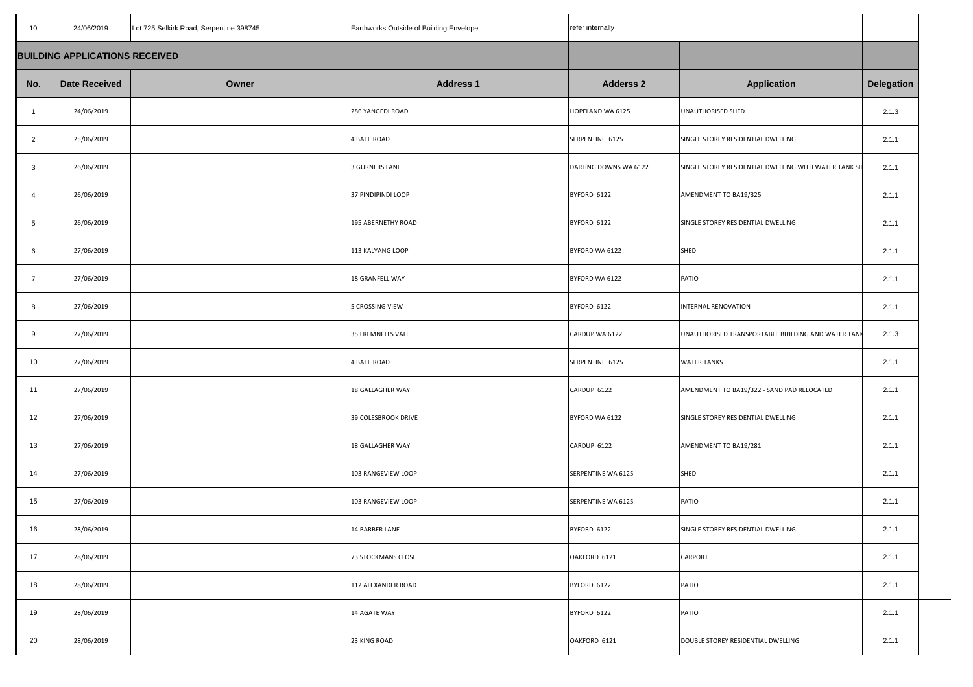| 10 <sup>°</sup> | 24/06/2019                            | Lot 725 Selkirk Road, Serpentine 398745 | Earthworks Outside of Building Envelope | refer internally      |                                                       |                   |
|-----------------|---------------------------------------|-----------------------------------------|-----------------------------------------|-----------------------|-------------------------------------------------------|-------------------|
|                 | <b>BUILDING APPLICATIONS RECEIVED</b> |                                         |                                         |                       |                                                       |                   |
| No.             | <b>Date Received</b>                  | Owner                                   | <b>Address 1</b>                        | <b>Adderss 2</b>      | <b>Application</b>                                    | <b>Delegation</b> |
|                 | 24/06/2019                            |                                         | 286 YANGEDI ROAD                        | HOPELAND WA 6125      | UNAUTHORISED SHED                                     | 2.1.3             |
| $\overline{2}$  | 25/06/2019                            |                                         | 4 BATE ROAD                             | SERPENTINE 6125       | SINGLE STOREY RESIDENTIAL DWELLING                    | 2.1.1             |
| $\overline{3}$  | 26/06/2019                            |                                         | 3 GURNERS LANE                          | DARLING DOWNS WA 6122 | SINGLE STOREY RESIDENTIAL DWELLING WITH WATER TANK SH | 2.1.1             |
| -4              | 26/06/2019                            |                                         | 37 PINDIPINDI LOOP                      | BYFORD 6122           | AMENDMENT TO BA19/325                                 | 2.1.1             |
| 5               | 26/06/2019                            |                                         | 195 ABERNETHY ROAD                      | BYFORD 6122           | SINGLE STOREY RESIDENTIAL DWELLING                    | 2.1.1             |
| 6               | 27/06/2019                            |                                         | 113 KALYANG LOOP                        | BYFORD WA 6122        | SHED                                                  | 2.1.1             |
|                 | 27/06/2019                            |                                         | 18 GRANFELL WAY                         | BYFORD WA 6122        | PATIO                                                 | 2.1.1             |
| 8               | 27/06/2019                            |                                         | 5 CROSSING VIEW                         | BYFORD 6122           | INTERNAL RENOVATION                                   | 2.1.1             |
| 9               | 27/06/2019                            |                                         | 35 FREMNELLS VALE                       | CARDUP WA 6122        | UNAUTHORISED TRANSPORTABLE BUILDING AND WATER TANK    | 2.1.3             |
| 10              | 27/06/2019                            |                                         | 4 BATE ROAD                             | SERPENTINE 6125       | <b>WATER TANKS</b>                                    | 2.1.1             |
| 11              | 27/06/2019                            |                                         | 18 GALLAGHER WAY                        | CARDUP 6122           | AMENDMENT TO BA19/322 - SAND PAD RELOCATED            | 2.1.1             |
| 12              | 27/06/2019                            |                                         | 39 COLESBROOK DRIVE                     | BYFORD WA 6122        | SINGLE STOREY RESIDENTIAL DWELLING                    | 2.1.1             |
| 13              | 27/06/2019                            |                                         | 18 GALLAGHER WAY                        | CARDUP 6122           | AMENDMENT TO BA19/281                                 | 2.1.1             |
| 14              | 27/06/2019                            |                                         | 103 RANGEVIEW LOOP                      | SERPENTINE WA 6125    | SHED                                                  | 2.1.1             |
| 15              | 27/06/2019                            |                                         | 103 RANGEVIEW LOOP                      | SERPENTINE WA 6125    | PATIO                                                 | 2.1.1             |
| 16              | 28/06/2019                            |                                         | <b>14 BARBER LANE</b>                   | BYFORD 6122           | SINGLE STOREY RESIDENTIAL DWELLING                    | 2.1.1             |
| 17              | 28/06/2019                            |                                         | 73 STOCKMANS CLOSE                      | OAKFORD 6121          | <b>CARPORT</b>                                        | 2.1.1             |
| 18              | 28/06/2019                            |                                         | 112 ALEXANDER ROAD                      | BYFORD 6122           | PATIO                                                 | 2.1.1             |
| 19              | 28/06/2019                            |                                         | 14 AGATE WAY                            | BYFORD 6122           | PATIO                                                 | 2.1.1             |
| 20              | 28/06/2019                            |                                         | 23 KING ROAD                            | OAKFORD 6121          | DOUBLE STOREY RESIDENTIAL DWELLING                    | 2.1.1             |